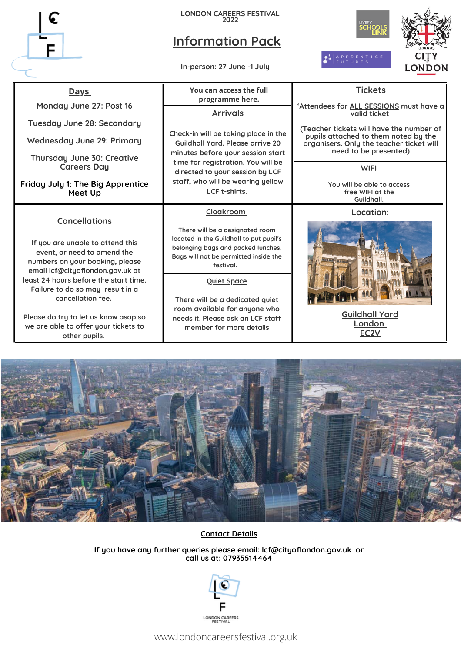

**LONDON CAREERS FESTIVAL 2022**

# **Information Pack**

**In-person: 27 June -1 July**



# **Days You can access the full**

**Monday June 27: Post 16**

**Tuesday June 28: Secondary**

**Wednesday June 29: Primary**

**Thursday June 30: Creative Careers Day**

**Friday July 1: The Big Apprentice Meet Up**

## **Cancellations**

**If you are unable to attend this event, or need to amend the numbers on your booking, please email lcf@cityoflondon.gov.uk at least 24 hours before the start time. Failure to do so may result in a cancellation fee.**

**Please do try to let us know asap so we are able to offer your tickets to other pupils.**

# **programme [here.](https://www.londoncareersfestival.org.uk/explore/) Arrivals**

**Check-in will be taking place in the Guildhall Yard. Please arrive 20 minutes before your session start time for registration. You will be directed to your session by LCF staff, who will be wearing yellow LCF t-shirts.**

### **Cloakroom**

**There will be a designated room located in the Guildhall to put pupil's belonging bags and packed lunches. Bags will not be permitted inside the festival.**

**Quiet Space**

**There will be a dedicated quiet room available for anyone who needs it. Please ask an LCF staff member for more details**

### **Tickets**

**'Attendees for ALL SESSIONS must have a valid ticket**

**(Teacher tickets will have the number of pupils attached to them noted by the organisers. Only the teacher ticket will need to be presented)**

**WIFI**

**You will be able to access free WIFI at the Guildhall.**

### **Location:**



**[Guildhall](https://www.cityoflondon.gov.uk/about-us/find-us) [Ya](https://www.cityoflondon.gov.uk/about-us/find-us)rd [London](https://www.cityoflondon.gov.uk/about-us/find-us) [EC2V](https://www.cityoflondon.gov.uk/about-us/find-us)**



## **Contact Details**

**If you have any further queries please email: lcf@cityoflondon.gov.uk or call us at: 07935514464**



www.londoncareersfestival.org.uk